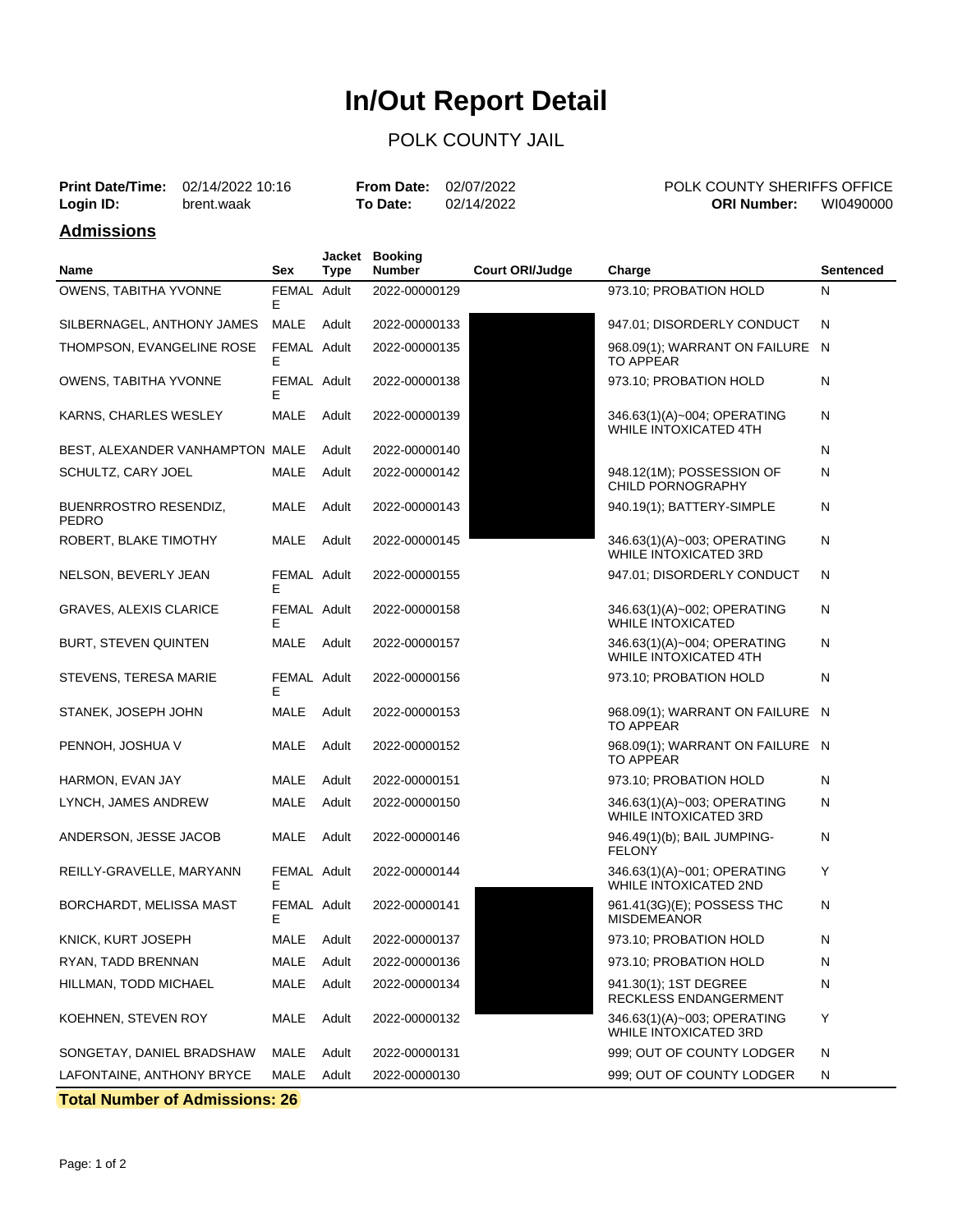## **In/Out Report Detail**

## POLK COUNTY JAIL

|           | <b>Print Date/Time:</b> 02/14/2022 10:16 | <b>From Date: 02/07/2022</b> |            |
|-----------|------------------------------------------|------------------------------|------------|
| Login ID: | brent.waak                               | To Date:                     | 02/14/2022 |

POLK COUNTY SHERIFFS OFFICE **ORI Number:** WI0490000

### **Admissions**

| Name                                         | Sex              | Jacket<br><b>Type</b> | <b>Booking</b><br><b>Number</b> | <b>Court ORI/Judge</b> | Charge                                                      | <b>Sentenced</b> |
|----------------------------------------------|------------------|-----------------------|---------------------------------|------------------------|-------------------------------------------------------------|------------------|
| OWENS, TABITHA YVONNE                        | FEMAL Adult<br>E |                       | 2022-00000129                   |                        | 973.10; PROBATION HOLD                                      | N                |
| SILBERNAGEL, ANTHONY JAMES                   | MALE             | Adult                 | 2022-00000133                   |                        | 947.01; DISORDERLY CONDUCT                                  | N                |
| THOMPSON, EVANGELINE ROSE                    | FEMAL Adult<br>E |                       | 2022-00000135                   |                        | 968.09(1); WARRANT ON FAILURE N<br>TO APPEAR                |                  |
| OWENS, TABITHA YVONNE                        | FEMAL Adult<br>E |                       | 2022-00000138                   |                        | 973.10; PROBATION HOLD                                      | N                |
| KARNS, CHARLES WESLEY                        | MALE             | Adult                 | 2022-00000139                   |                        | 346.63(1)(A)~004; OPERATING<br>WHILE INTOXICATED 4TH        | N                |
| BEST, ALEXANDER VANHAMPTON MALE              |                  | Adult                 | 2022-00000140                   |                        |                                                             | N                |
| SCHULTZ, CARY JOEL                           | <b>MALE</b>      | Adult                 | 2022-00000142                   |                        | 948.12(1M); POSSESSION OF<br><b>CHILD PORNOGRAPHY</b>       | N                |
| <b>BUENRROSTRO RESENDIZ,</b><br><b>PEDRO</b> | MALE             | Adult                 | 2022-00000143                   |                        | 940.19(1); BATTERY-SIMPLE                                   | N                |
| ROBERT, BLAKE TIMOTHY                        | MALE             | Adult                 | 2022-00000145                   |                        | 346.63(1)(A)~003; OPERATING<br><b>WHILE INTOXICATED 3RD</b> | N                |
| NELSON, BEVERLY JEAN                         | FEMAL Adult<br>E |                       | 2022-00000155                   |                        | 947.01; DISORDERLY CONDUCT                                  | N                |
| <b>GRAVES, ALEXIS CLARICE</b>                | FEMAL Adult<br>Е |                       | 2022-00000158                   |                        | 346.63(1)(A)~002; OPERATING<br><b>WHILE INTOXICATED</b>     | N                |
| <b>BURT, STEVEN QUINTEN</b>                  | MALE             | Adult                 | 2022-00000157                   |                        | 346.63(1)(A)~004; OPERATING<br>WHILE INTOXICATED 4TH        | N                |
| STEVENS, TERESA MARIE                        | FEMAL Adult<br>Е |                       | 2022-00000156                   |                        | 973.10; PROBATION HOLD                                      | N                |
| STANEK, JOSEPH JOHN                          | MALE             | Adult                 | 2022-00000153                   |                        | 968.09(1); WARRANT ON FAILURE N<br><b>TO APPEAR</b>         |                  |
| PENNOH, JOSHUA V                             | MALE             | Adult                 | 2022-00000152                   |                        | 968.09(1); WARRANT ON FAILURE N<br><b>TO APPEAR</b>         |                  |
| HARMON, EVAN JAY                             | MALE             | Adult                 | 2022-00000151                   |                        | 973.10; PROBATION HOLD                                      | N                |
| LYNCH, JAMES ANDREW                          | MALE             | Adult                 | 2022-00000150                   |                        | 346.63(1)(A)~003; OPERATING<br>WHILE INTOXICATED 3RD        | N                |
| ANDERSON, JESSE JACOB                        | MALE             | Adult                 | 2022-00000146                   |                        | 946.49(1)(b); BAIL JUMPING-<br><b>FELONY</b>                | N                |
| REILLY-GRAVELLE, MARYANN                     | FEMAL Adult<br>Е |                       | 2022-00000144                   |                        | 346.63(1)(A)~001; OPERATING<br><b>WHILE INTOXICATED 2ND</b> | Y                |
| BORCHARDT, MELISSA MAST                      | FEMAL Adult<br>E |                       | 2022-00000141                   |                        | 961.41(3G)(E); POSSESS THC<br>MISDEMEANOR                   | N                |
| KNICK, KURT JOSEPH                           | MALE             | Adult                 | 2022-00000137                   |                        | 973.10; PROBATION HOLD                                      | N                |
| RYAN, TADD BRENNAN                           | <b>MALE</b>      | Adult                 | 2022-00000136                   |                        | 973.10; PROBATION HOLD                                      | N                |
| HILLMAN, TODD MICHAEL                        | MALE             | Adult                 | 2022-00000134                   |                        | 941.30(1); 1ST DEGREE<br>RECKLESS ENDANGERMENT              | N                |
| KOEHNEN, STEVEN ROY                          | MALE             | Adult                 | 2022-00000132                   |                        | 346.63(1)(A)~003; OPERATING<br>WHILE INTOXICATED 3RD        | Υ                |
| SONGETAY, DANIEL BRADSHAW                    | MALE             | Adult                 | 2022-00000131                   |                        | 999; OUT OF COUNTY LODGER                                   | N                |
| LAFONTAINE, ANTHONY BRYCE                    | <b>MALE</b>      | Adult                 | 2022-00000130                   |                        | 999; OUT OF COUNTY LODGER                                   | N                |

**Total Number of Admissions: 26**